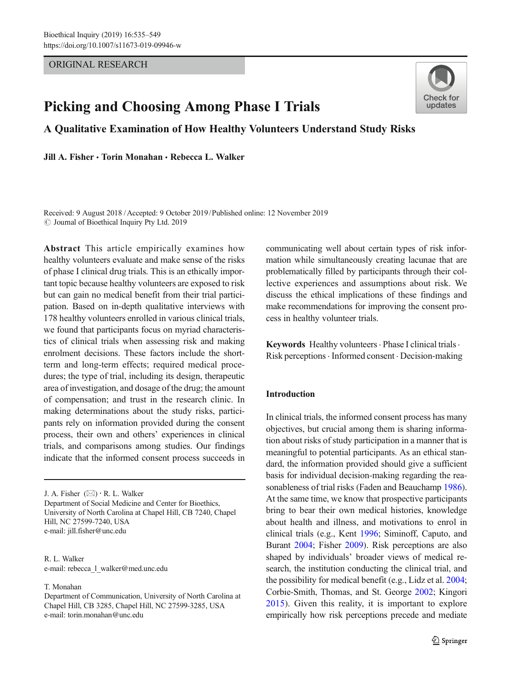## ORIGINAL RESEARCH

# Picking and Choosing Among Phase I Trials

Check for updates

A Qualitative Examination of How Healthy Volunteers Understand Study Risks

Jill A. Fisher & Torin Monahan & Rebecca L. Walker

Received: 9 August 2018 /Accepted: 9 October 2019 /Published online: 12 November 2019 $\odot$  Journal of Bioethical Inquiry Pty Ltd. 2019

Abstract This article empirically examines how healthy volunteers evaluate and make sense of the risks of phase I clinical drug trials. This is an ethically important topic because healthy volunteers are exposed to risk but can gain no medical benefit from their trial participation. Based on in-depth qualitative interviews with 178 healthy volunteers enrolled in various clinical trials, we found that participants focus on myriad characteristics of clinical trials when assessing risk and making enrolment decisions. These factors include the shortterm and long-term effects; required medical procedures; the type of trial, including its design, therapeutic area of investigation, and dosage of the drug; the amount of compensation; and trust in the research clinic. In making determinations about the study risks, participants rely on information provided during the consent process, their own and others' experiences in clinical trials, and comparisons among studies. Our findings indicate that the informed consent process succeeds in

J. A. Fisher  $(\boxtimes) \cdot R$ . L. Walker Department of Social Medicine and Center for Bioethics, University of North Carolina at Chapel Hill, CB 7240, Chapel Hill, NC 27599-7240, USA e-mail: jill.fisher@unc.edu

R. L. Walker e-mail: rebecca\_l\_walker@med.unc.edu

T. Monahan

communicating well about certain types of risk information while simultaneously creating lacunae that are problematically filled by participants through their collective experiences and assumptions about risk. We discuss the ethical implications of these findings and make recommendations for improving the consent process in healthy volunteer trials.

Keywords Healthy volunteers · Phase I clinical trials · Risk perceptions. Informed consent . Decision-making

## Introduction

In clinical trials, the informed consent process has many objectives, but crucial among them is sharing information about risks of study participation in a manner that is meaningful to potential participants. As an ethical standard, the information provided should give a sufficient basis for individual decision-making regarding the reasonableness of trial risks (Faden and Beauchamp [1986\)](#page-13-0). At the same time, we know that prospective participants bring to bear their own medical histories, knowledge about health and illness, and motivations to enrol in clinical trials (e.g., Kent [1996](#page-13-0); Siminoff, Caputo, and Burant [2004;](#page-14-0) Fisher [2009](#page-13-0)). Risk perceptions are also shaped by individuals' broader views of medical research, the institution conducting the clinical trial, and the possibility for medical benefit (e.g., Lidz et al. [2004;](#page-14-0) Corbie-Smith, Thomas, and St. George [2002;](#page-13-0) Kingori [2015](#page-13-0)). Given this reality, it is important to explore empirically how risk perceptions precede and mediate

Department of Communication, University of North Carolina at Chapel Hill, CB 3285, Chapel Hill, NC 27599-3285, USA e-mail: torin.monahan@unc.edu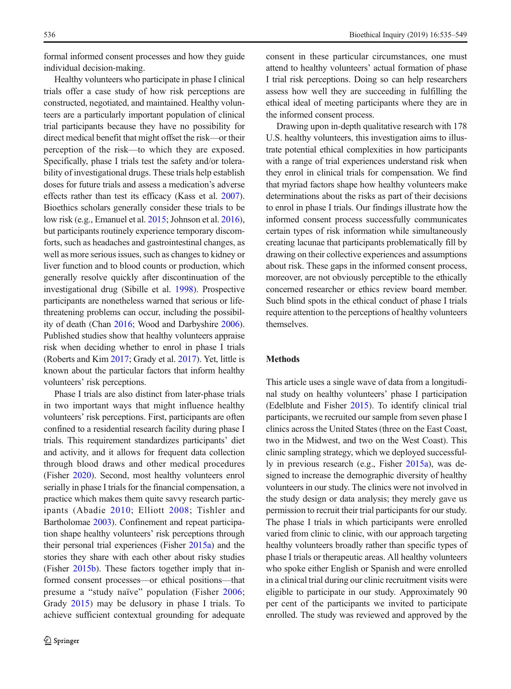formal informed consent processes and how they guide individual decision-making.

Healthy volunteers who participate in phase I clinical trials offer a case study of how risk perceptions are constructed, negotiated, and maintained. Healthy volunteers are a particularly important population of clinical trial participants because they have no possibility for direct medical benefit that might offset the risk—or their perception of the risk—to which they are exposed. Specifically, phase I trials test the safety and/or tolerability of investigational drugs. These trials help establish doses for future trials and assess a medication's adverse effects rather than test its efficacy (Kass et al. [2007\)](#page-13-0). Bioethics scholars generally consider these trials to be low risk (e.g., Emanuel et al. [2015;](#page-13-0) Johnson et al. [2016\)](#page-13-0), but participants routinely experience temporary discomforts, such as headaches and gastrointestinal changes, as well as more serious issues, such as changes to kidney or liver function and to blood counts or production, which generally resolve quickly after discontinuation of the investigational drug (Sibille et al. [1998](#page-14-0)). Prospective participants are nonetheless warned that serious or lifethreatening problems can occur, including the possibility of death (Chan [2016;](#page-13-0) Wood and Darbyshire [2006\)](#page-14-0). Published studies show that healthy volunteers appraise risk when deciding whether to enrol in phase I trials (Roberts and Kim [2017](#page-14-0); Grady et al. [2017](#page-13-0)). Yet, little is known about the particular factors that inform healthy volunteers' risk perceptions.

Phase I trials are also distinct from later-phase trials in two important ways that might influence healthy volunteers' risk perceptions. First, participants are often confined to a residential research facility during phase I trials. This requirement standardizes participants' diet and activity, and it allows for frequent data collection through blood draws and other medical procedures (Fisher [2020\)](#page-13-0). Second, most healthy volunteers enrol serially in phase I trials for the financial compensation, a practice which makes them quite savvy research participants (Abadie [2010](#page-13-0); Elliott [2008](#page-13-0); Tishler and Bartholomae [2003](#page-14-0)). Confinement and repeat participation shape healthy volunteers' risk perceptions through their personal trial experiences (Fisher [2015a](#page-13-0)) and the stories they share with each other about risky studies (Fisher [2015b\)](#page-13-0). These factors together imply that informed consent processes—or ethical positions—that presume a "study naïve" population (Fisher [2006](#page-13-0); Grady [2015](#page-13-0)) may be delusory in phase I trials. To achieve sufficient contextual grounding for adequate consent in these particular circumstances, one must attend to healthy volunteers' actual formation of phase I trial risk perceptions. Doing so can help researchers assess how well they are succeeding in fulfilling the ethical ideal of meeting participants where they are in the informed consent process.

Drawing upon in-depth qualitative research with 178 U.S. healthy volunteers, this investigation aims to illustrate potential ethical complexities in how participants with a range of trial experiences understand risk when they enrol in clinical trials for compensation. We find that myriad factors shape how healthy volunteers make determinations about the risks as part of their decisions to enrol in phase I trials. Our findings illustrate how the informed consent process successfully communicates certain types of risk information while simultaneously creating lacunae that participants problematically fill by drawing on their collective experiences and assumptions about risk. These gaps in the informed consent process, moreover, are not obviously perceptible to the ethically concerned researcher or ethics review board member. Such blind spots in the ethical conduct of phase I trials require attention to the perceptions of healthy volunteers themselves.

## **Methods**

This article uses a single wave of data from a longitudinal study on healthy volunteers' phase I participation (Edelblute and Fisher [2015\)](#page-13-0). To identify clinical trial participants, we recruited our sample from seven phase I clinics across the United States (three on the East Coast, two in the Midwest, and two on the West Coast). This clinic sampling strategy, which we deployed successfully in previous research (e.g., Fisher [2015a\)](#page-13-0), was designed to increase the demographic diversity of healthy volunteers in our study. The clinics were not involved in the study design or data analysis; they merely gave us permission to recruit their trial participants for our study. The phase I trials in which participants were enrolled varied from clinic to clinic, with our approach targeting healthy volunteers broadly rather than specific types of phase I trials or therapeutic areas. All healthy volunteers who spoke either English or Spanish and were enrolled in a clinical trial during our clinic recruitment visits were eligible to participate in our study. Approximately 90 per cent of the participants we invited to participate enrolled. The study was reviewed and approved by the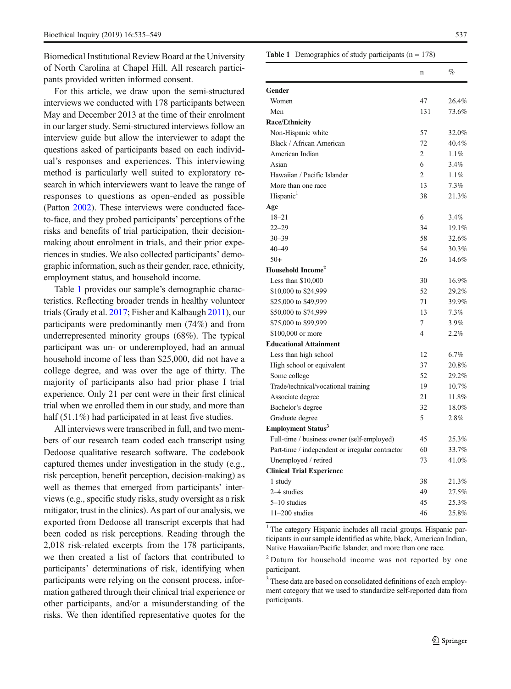Biomedical Institutional Review Board at the University of North Carolina at Chapel Hill. All research participants provided written informed consent.

For this article, we draw upon the semi-structured interviews we conducted with 178 participants between May and December 2013 at the time of their enrolment in our larger study. Semi-structured interviews follow an interview guide but allow the interviewer to adapt the questions asked of participants based on each individual's responses and experiences. This interviewing method is particularly well suited to exploratory research in which interviewers want to leave the range of responses to questions as open-ended as possible (Patton [2002\)](#page-14-0). These interviews were conducted faceto-face, and they probed participants' perceptions of the risks and benefits of trial participation, their decisionmaking about enrolment in trials, and their prior experiences in studies. We also collected participants' demographic information, such as their gender, race, ethnicity, employment status, and household income.

Table 1 provides our sample's demographic characteristics. Reflecting broader trends in healthy volunteer trials (Grady et al. [2017](#page-13-0); Fisher and Kalbaugh [2011\)](#page-13-0), our participants were predominantly men (74%) and from underrepresented minority groups (68%). The typical participant was un- or underemployed, had an annual household income of less than \$25,000, did not have a college degree, and was over the age of thirty. The majority of participants also had prior phase I trial experience. Only 21 per cent were in their first clinical trial when we enrolled them in our study, and more than half (51.1%) had participated in at least five studies.

All interviews were transcribed in full, and two members of our research team coded each transcript using Dedoose qualitative research software. The codebook captured themes under investigation in the study (e.g., risk perception, benefit perception, decision-making) as well as themes that emerged from participants' interviews (e.g., specific study risks, study oversight as a risk mitigator, trust in the clinics). As part of our analysis, we exported from Dedoose all transcript excerpts that had been coded as risk perceptions. Reading through the 2,018 risk-related excerpts from the 178 participants, we then created a list of factors that contributed to participants' determinations of risk, identifying when participants were relying on the consent process, information gathered through their clinical trial experience or other participants, and/or a misunderstanding of the risks. We then identified representative quotes for the **Table 1** Demographics of study participants  $(n = 178)$ 

|                                                 | n              | $\%$  |
|-------------------------------------------------|----------------|-------|
| Gender                                          |                |       |
| Women                                           | 47             | 26.4% |
| Men                                             | 131            | 73.6% |
| <b>Race/Ethnicity</b>                           |                |       |
| Non-Hispanic white                              | 57             | 32.0% |
| <b>Black / African American</b>                 | 72             | 40.4% |
| American Indian                                 | $\overline{c}$ | 1.1%  |
| Asian                                           | 6              | 3.4%  |
| Hawaiian / Pacific Islander                     | $\overline{c}$ | 1.1%  |
| More than one race                              | 13             | 7.3%  |
| Hispanic <sup>1</sup>                           | 38             | 21.3% |
| Age                                             |                |       |
| $18 - 21$                                       | 6              | 3.4%  |
| $22 - 29$                                       | 34             | 19.1% |
| $30 - 39$                                       | 58             | 32.6% |
| $40 - 49$                                       | 54             | 30.3% |
| $50+$                                           | 26             | 14.6% |
| Household Income <sup>2</sup>                   |                |       |
| Less than \$10,000                              | 30             | 16.9% |
| \$10,000 to \$24,999                            | 52             | 29.2% |
| \$25,000 to \$49,999                            | 71             | 39.9% |
| \$50,000 to \$74,999                            | 13             | 7.3%  |
| \$75,000 to \$99,999                            | 7              | 3.9%  |
| \$100,000 or more                               | $\overline{4}$ | 2.2%  |
| <b>Educational Attainment</b>                   |                |       |
| Less than high school                           | 12             | 6.7%  |
| High school or equivalent                       | 37             | 20.8% |
| Some college                                    | 52             | 29.2% |
| Trade/technical/vocational training             | 19             | 10.7% |
| Associate degree                                | 21             | 11.8% |
| Bachelor's degree                               | 32             | 18.0% |
| Graduate degree                                 | 5              | 2.8%  |
| <b>Employment Status<sup>3</sup></b>            |                |       |
| Full-time / business owner (self-employed)      | 45             | 25.3% |
| Part-time / independent or irregular contractor | 60             | 33.7% |
| Unemployed / retired                            | 73             | 41.0% |
| <b>Clinical Trial Experience</b>                |                |       |
| 1 study                                         | 38             | 21.3% |
| 2–4 studies                                     | 49             | 27.5% |
| $5-10$ studies                                  | 45             | 25.3% |
| $11-200$ studies                                | 46             | 25.8% |

<sup>1</sup> The category Hispanic includes all racial groups. Hispanic participants in our sample identified as white, black, American Indian, Native Hawaiian/Pacific Islander, and more than one race.

<sup>2</sup> Datum for household income was not reported by one participant.

<sup>3</sup> These data are based on consolidated definitions of each employment category that we used to standardize self-reported data from participants.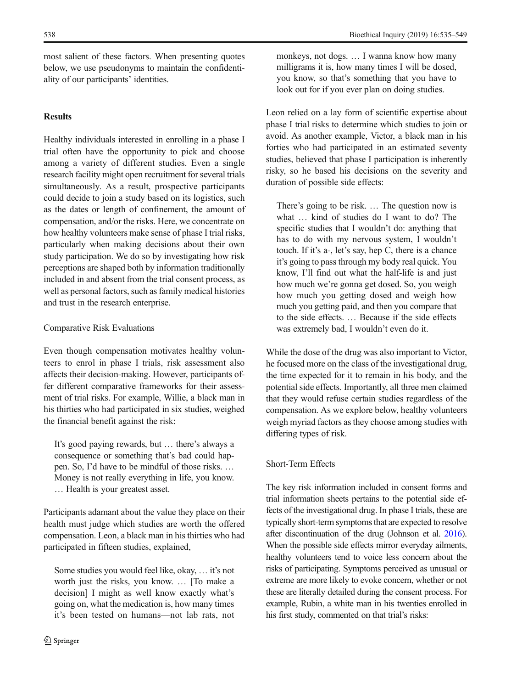most salient of these factors. When presenting quotes below, we use pseudonyms to maintain the confidentiality of our participants' identities.

## Results

Healthy individuals interested in enrolling in a phase I trial often have the opportunity to pick and choose among a variety of different studies. Even a single research facility might open recruitment for several trials simultaneously. As a result, prospective participants could decide to join a study based on its logistics, such as the dates or length of confinement, the amount of compensation, and/or the risks. Here, we concentrate on how healthy volunteers make sense of phase I trial risks, particularly when making decisions about their own study participation. We do so by investigating how risk perceptions are shaped both by information traditionally included in and absent from the trial consent process, as well as personal factors, such as family medical histories and trust in the research enterprise.

Comparative Risk Evaluations

Even though compensation motivates healthy volunteers to enrol in phase I trials, risk assessment also affects their decision-making. However, participants offer different comparative frameworks for their assessment of trial risks. For example, Willie, a black man in his thirties who had participated in six studies, weighed the financial benefit against the risk:

It's good paying rewards, but … there's always a consequence or something that's bad could happen. So, I'd have to be mindful of those risks. … Money is not really everything in life, you know. … Health is your greatest asset.

Participants adamant about the value they place on their health must judge which studies are worth the offered compensation. Leon, a black man in his thirties who had participated in fifteen studies, explained,

Some studies you would feel like, okay, … it's not worth just the risks, you know. … [To make a decision] I might as well know exactly what's going on, what the medication is, how many times it's been tested on humans—not lab rats, not monkeys, not dogs. … I wanna know how many milligrams it is, how many times I will be dosed, you know, so that's something that you have to look out for if you ever plan on doing studies.

Leon relied on a lay form of scientific expertise about phase I trial risks to determine which studies to join or avoid. As another example, Victor, a black man in his forties who had participated in an estimated seventy studies, believed that phase I participation is inherently risky, so he based his decisions on the severity and duration of possible side effects:

There's going to be risk. … The question now is what … kind of studies do I want to do? The specific studies that I wouldn't do: anything that has to do with my nervous system, I wouldn't touch. If it's a-, let's say, hep C, there is a chance it's going to pass through my body real quick. You know, I'll find out what the half-life is and just how much we're gonna get dosed. So, you weigh how much you getting dosed and weigh how much you getting paid, and then you compare that to the side effects. … Because if the side effects was extremely bad, I wouldn't even do it.

While the dose of the drug was also important to Victor, he focused more on the class of the investigational drug, the time expected for it to remain in his body, and the potential side effects. Importantly, all three men claimed that they would refuse certain studies regardless of the compensation. As we explore below, healthy volunteers weigh myriad factors as they choose among studies with differing types of risk.

## Short-Term Effects

The key risk information included in consent forms and trial information sheets pertains to the potential side effects of the investigational drug. In phase I trials, these are typically short-term symptoms that are expected to resolve after discontinuation of the drug (Johnson et al. [2016\)](#page-13-0). When the possible side effects mirror everyday ailments, healthy volunteers tend to voice less concern about the risks of participating. Symptoms perceived as unusual or extreme are more likely to evoke concern, whether or not these are literally detailed during the consent process. For example, Rubin, a white man in his twenties enrolled in his first study, commented on that trial's risks: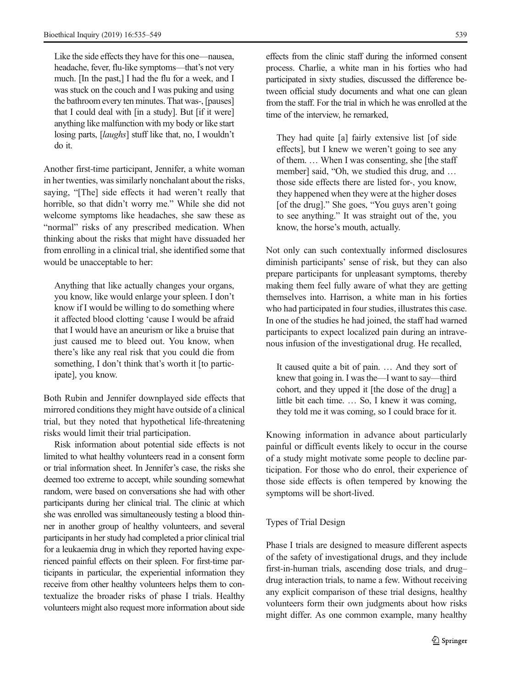Like the side effects they have for this one—nausea, headache, fever, flu-like symptoms—that's not very much. [In the past,] I had the flu for a week, and I was stuck on the couch and I was puking and using the bathroom every ten minutes. That was-, [pauses] that I could deal with [in a study]. But [if it were] anything like malfunction with my body or like start losing parts, [laughs] stuff like that, no, I wouldn't do it.

Another first-time participant, Jennifer, a white woman in her twenties, was similarly nonchalant about the risks, saying, "[The] side effects it had weren't really that horrible, so that didn't worry me." While she did not welcome symptoms like headaches, she saw these as "normal" risks of any prescribed medication. When thinking about the risks that might have dissuaded her from enrolling in a clinical trial, she identified some that would be unacceptable to her:

Anything that like actually changes your organs, you know, like would enlarge your spleen. I don't know if I would be willing to do something where it affected blood clotting 'cause I would be afraid that I would have an aneurism or like a bruise that just caused me to bleed out. You know, when there's like any real risk that you could die from something, I don't think that's worth it [to participate], you know.

Both Rubin and Jennifer downplayed side effects that mirrored conditions they might have outside of a clinical trial, but they noted that hypothetical life-threatening risks would limit their trial participation.

Risk information about potential side effects is not limited to what healthy volunteers read in a consent form or trial information sheet. In Jennifer's case, the risks she deemed too extreme to accept, while sounding somewhat random, were based on conversations she had with other participants during her clinical trial. The clinic at which she was enrolled was simultaneously testing a blood thinner in another group of healthy volunteers, and several participants in her study had completed a prior clinical trial for a leukaemia drug in which they reported having experienced painful effects on their spleen. For first-time participants in particular, the experiential information they receive from other healthy volunteers helps them to contextualize the broader risks of phase I trials. Healthy volunteers might also request more information about side effects from the clinic staff during the informed consent process. Charlie, a white man in his forties who had participated in sixty studies, discussed the difference between official study documents and what one can glean from the staff. For the trial in which he was enrolled at the time of the interview, he remarked,

They had quite [a] fairly extensive list [of side effects], but I knew we weren't going to see any of them. … When I was consenting, she [the staff member] said, "Oh, we studied this drug, and … those side effects there are listed for-, you know, they happened when they were at the higher doses [of the drug]." She goes, "You guys aren't going to see anything." It was straight out of the, you know, the horse's mouth, actually.

Not only can such contextually informed disclosures diminish participants' sense of risk, but they can also prepare participants for unpleasant symptoms, thereby making them feel fully aware of what they are getting themselves into. Harrison, a white man in his forties who had participated in four studies, illustrates this case. In one of the studies he had joined, the staff had warned participants to expect localized pain during an intravenous infusion of the investigational drug. He recalled,

It caused quite a bit of pain. … And they sort of knew that going in. I was the—I want to say—third cohort, and they upped it [the dose of the drug] a little bit each time. … So, I knew it was coming, they told me it was coming, so I could brace for it.

Knowing information in advance about particularly painful or difficult events likely to occur in the course of a study might motivate some people to decline participation. For those who do enrol, their experience of those side effects is often tempered by knowing the symptoms will be short-lived.

## Types of Trial Design

Phase I trials are designed to measure different aspects of the safety of investigational drugs, and they include first-in-human trials, ascending dose trials, and drug– drug interaction trials, to name a few. Without receiving any explicit comparison of these trial designs, healthy volunteers form their own judgments about how risks might differ. As one common example, many healthy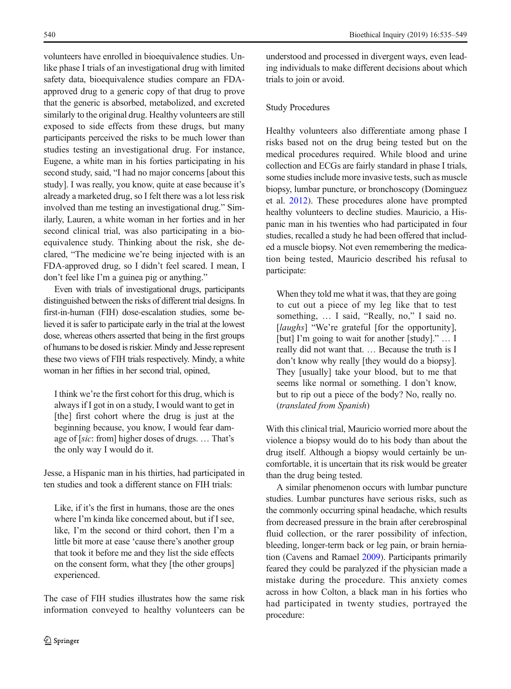volunteers have enrolled in bioequivalence studies. Unlike phase I trials of an investigational drug with limited safety data, bioequivalence studies compare an FDAapproved drug to a generic copy of that drug to prove that the generic is absorbed, metabolized, and excreted similarly to the original drug. Healthy volunteers are still exposed to side effects from these drugs, but many participants perceived the risks to be much lower than studies testing an investigational drug. For instance, Eugene, a white man in his forties participating in his second study, said, "I had no major concerns [about this study]. I was really, you know, quite at ease because it's already a marketed drug, so I felt there was a lot less risk involved than me testing an investigational drug." Similarly, Lauren, a white woman in her forties and in her second clinical trial, was also participating in a bioequivalence study. Thinking about the risk, she declared, "The medicine we're being injected with is an FDA-approved drug, so I didn't feel scared. I mean, I don't feel like I'm a guinea pig or anything."

Even with trials of investigational drugs, participants distinguished between the risks of different trial designs. In first-in-human (FIH) dose-escalation studies, some believed it is safer to participate early in the trial at the lowest dose, whereas others asserted that being in the first groups of humans to be dosed is riskier. Mindy and Jesse represent these two views of FIH trials respectively. Mindy, a white woman in her fifties in her second trial, opined,

I think we're the first cohort for this drug, which is always if I got in on a study, I would want to get in [the] first cohort where the drug is just at the beginning because, you know, I would fear damage of [sic: from] higher doses of drugs. … That's the only way I would do it.

Jesse, a Hispanic man in his thirties, had participated in ten studies and took a different stance on FIH trials:

Like, if it's the first in humans, those are the ones where I'm kinda like concerned about, but if I see, like, I'm the second or third cohort, then I'm a little bit more at ease 'cause there's another group that took it before me and they list the side effects on the consent form, what they [the other groups] experienced.

The case of FIH studies illustrates how the same risk information conveyed to healthy volunteers can be understood and processed in divergent ways, even leading individuals to make different decisions about which trials to join or avoid.

# Study Procedures

Healthy volunteers also differentiate among phase I risks based not on the drug being tested but on the medical procedures required. While blood and urine collection and ECGs are fairly standard in phase I trials, some studies include more invasive tests, such as muscle biopsy, lumbar puncture, or bronchoscopy (Dominguez et al. [2012\)](#page-13-0). These procedures alone have prompted healthy volunteers to decline studies. Mauricio, a Hispanic man in his twenties who had participated in four studies, recalled a study he had been offered that included a muscle biopsy. Not even remembering the medication being tested, Mauricio described his refusal to participate:

When they told me what it was, that they are going to cut out a piece of my leg like that to test something, … I said, "Really, no," I said no. [*laughs*] "We're grateful [for the opportunity], [but] I'm going to wait for another [study]." ... I really did not want that. … Because the truth is I don't know why really [they would do a biopsy]. They [usually] take your blood, but to me that seems like normal or something. I don't know, but to rip out a piece of the body? No, really no. (translated from Spanish)

With this clinical trial, Mauricio worried more about the violence a biopsy would do to his body than about the drug itself. Although a biopsy would certainly be uncomfortable, it is uncertain that its risk would be greater than the drug being tested.

A similar phenomenon occurs with lumbar puncture studies. Lumbar punctures have serious risks, such as the commonly occurring spinal headache, which results from decreased pressure in the brain after cerebrospinal fluid collection, or the rarer possibility of infection, bleeding, longer-term back or leg pain, or brain herniation (Cavens and Ramael [2009](#page-13-0)). Participants primarily feared they could be paralyzed if the physician made a mistake during the procedure. This anxiety comes across in how Colton, a black man in his forties who had participated in twenty studies, portrayed the procedure: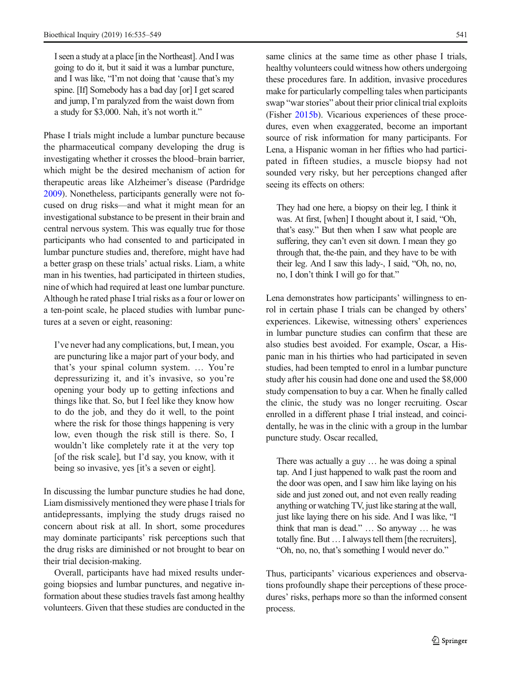I seen a study at a place [in the Northeast]. And I was going to do it, but it said it was a lumbar puncture, and I was like, "I'm not doing that 'cause that's my spine. [If] Somebody has a bad day [or] I get scared and jump, I'm paralyzed from the waist down from a study for \$3,000. Nah, it's not worth it."

Phase I trials might include a lumbar puncture because the pharmaceutical company developing the drug is investigating whether it crosses the blood–brain barrier, which might be the desired mechanism of action for therapeutic areas like Alzheimer's disease (Pardridge [2009](#page-14-0)). Nonetheless, participants generally were not focused on drug risks—and what it might mean for an investigational substance to be present in their brain and central nervous system. This was equally true for those participants who had consented to and participated in lumbar puncture studies and, therefore, might have had a better grasp on these trials' actual risks. Liam, a white man in his twenties, had participated in thirteen studies, nine of which had required at least one lumbar puncture. Although he rated phase I trial risks as a four or lower on a ten-point scale, he placed studies with lumbar punctures at a seven or eight, reasoning:

I've never had any complications, but, I mean, you are puncturing like a major part of your body, and that's your spinal column system. … You're depressurizing it, and it's invasive, so you're opening your body up to getting infections and things like that. So, but I feel like they know how to do the job, and they do it well, to the point where the risk for those things happening is very low, even though the risk still is there. So, I wouldn't like completely rate it at the very top [of the risk scale], but I'd say, you know, with it being so invasive, yes [it's a seven or eight].

In discussing the lumbar puncture studies he had done, Liam dismissively mentioned they were phase I trials for antidepressants, implying the study drugs raised no concern about risk at all. In short, some procedures may dominate participants' risk perceptions such that the drug risks are diminished or not brought to bear on their trial decision-making.

Overall, participants have had mixed results undergoing biopsies and lumbar punctures, and negative information about these studies travels fast among healthy volunteers. Given that these studies are conducted in the same clinics at the same time as other phase I trials, healthy volunteers could witness how others undergoing these procedures fare. In addition, invasive procedures make for particularly compelling tales when participants swap "war stories" about their prior clinical trial exploits (Fisher [2015b](#page-13-0)). Vicarious experiences of these procedures, even when exaggerated, become an important source of risk information for many participants. For Lena, a Hispanic woman in her fifties who had participated in fifteen studies, a muscle biopsy had not sounded very risky, but her perceptions changed after seeing its effects on others:

They had one here, a biopsy on their leg, I think it was. At first, [when] I thought about it, I said, "Oh, that's easy." But then when I saw what people are suffering, they can't even sit down. I mean they go through that, the-the pain, and they have to be with their leg. And I saw this lady-, I said, "Oh, no, no, no, I don't think I will go for that."

Lena demonstrates how participants' willingness to enrol in certain phase I trials can be changed by others' experiences. Likewise, witnessing others' experiences in lumbar puncture studies can confirm that these are also studies best avoided. For example, Oscar, a Hispanic man in his thirties who had participated in seven studies, had been tempted to enrol in a lumbar puncture study after his cousin had done one and used the \$8,000 study compensation to buy a car. When he finally called the clinic, the study was no longer recruiting. Oscar enrolled in a different phase I trial instead, and coincidentally, he was in the clinic with a group in the lumbar puncture study. Oscar recalled,

There was actually a guy … he was doing a spinal tap. And I just happened to walk past the room and the door was open, and I saw him like laying on his side and just zoned out, and not even really reading anything or watching TV, just like staring at the wall, just like laying there on his side. And I was like, "I think that man is dead." … So anyway … he was totally fine. But…I always tell them [the recruiters], "Oh, no, no, that's something I would never do."

Thus, participants' vicarious experiences and observations profoundly shape their perceptions of these procedures' risks, perhaps more so than the informed consent process.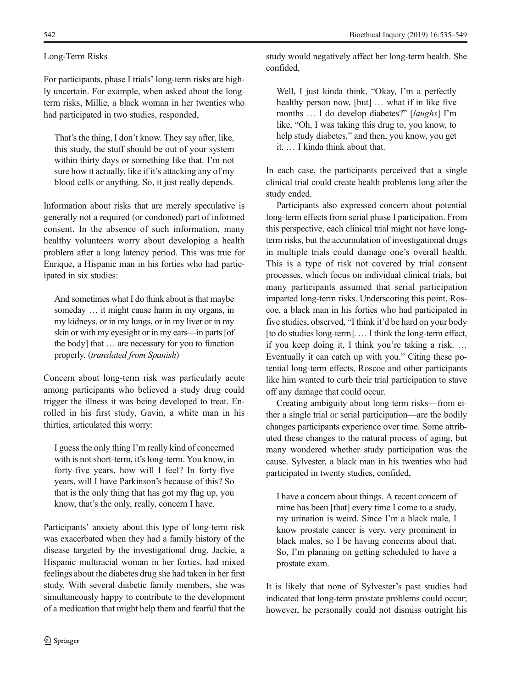# Long-Term Risks

For participants, phase I trials' long-term risks are highly uncertain. For example, when asked about the longterm risks, Millie, a black woman in her twenties who had participated in two studies, responded,

That's the thing, I don't know. They say after, like, this study, the stuff should be out of your system within thirty days or something like that. I'm not sure how it actually, like if it's attacking any of my blood cells or anything. So, it just really depends.

Information about risks that are merely speculative is generally not a required (or condoned) part of informed consent. In the absence of such information, many healthy volunteers worry about developing a health problem after a long latency period. This was true for Enrique, a Hispanic man in his forties who had participated in six studies:

And sometimes what I do think about is that maybe someday … it might cause harm in my organs, in my kidneys, or in my lungs, or in my liver or in my skin or with my eyesight or in my ears—in parts [of the body] that … are necessary for you to function properly. (translated from Spanish)

Concern about long-term risk was particularly acute among participants who believed a study drug could trigger the illness it was being developed to treat. Enrolled in his first study, Gavin, a white man in his thirties, articulated this worry:

I guess the only thing I'm really kind of concerned with is not short-term, it's long-term. You know, in forty-five years, how will I feel? In forty-five years, will I have Parkinson's because of this? So that is the only thing that has got my flag up, you know, that's the only, really, concern I have.

Participants' anxiety about this type of long-term risk was exacerbated when they had a family history of the disease targeted by the investigational drug. Jackie, a Hispanic multiracial woman in her forties, had mixed feelings about the diabetes drug she had taken in her first study. With several diabetic family members, she was simultaneously happy to contribute to the development of a medication that might help them and fearful that the

study would negatively affect her long-term health. She confided,

Well, I just kinda think, "Okay, I'm a perfectly healthy person now, [but] … what if in like five months … I do develop diabetes?" [laughs] I'm like, "Oh, I was taking this drug to, you know, to help study diabetes," and then, you know, you get it. … I kinda think about that.

In each case, the participants perceived that a single clinical trial could create health problems long after the study ended.

Participants also expressed concern about potential long-term effects from serial phase I participation. From this perspective, each clinical trial might not have longterm risks, but the accumulation of investigational drugs in multiple trials could damage one's overall health. This is a type of risk not covered by trial consent processes, which focus on individual clinical trials, but many participants assumed that serial participation imparted long-term risks. Underscoring this point, Roscoe, a black man in his forties who had participated in five studies, observed, "I think it'd be hard on your body [to do studies long-term]. ... I think the long-term effect, if you keep doing it, I think you're taking a risk. … Eventually it can catch up with you." Citing these potential long-term effects, Roscoe and other participants like him wanted to curb their trial participation to stave off any damage that could occur.

Creating ambiguity about long-term risks—from either a single trial or serial participation—are the bodily changes participants experience over time. Some attributed these changes to the natural process of aging, but many wondered whether study participation was the cause. Sylvester, a black man in his twenties who had participated in twenty studies, confided,

I have a concern about things. A recent concern of mine has been [that] every time I come to a study, my urination is weird. Since I'm a black male, I know prostate cancer is very, very prominent in black males, so I be having concerns about that. So, I'm planning on getting scheduled to have a prostate exam.

It is likely that none of Sylvester's past studies had indicated that long-term prostate problems could occur; however, he personally could not dismiss outright his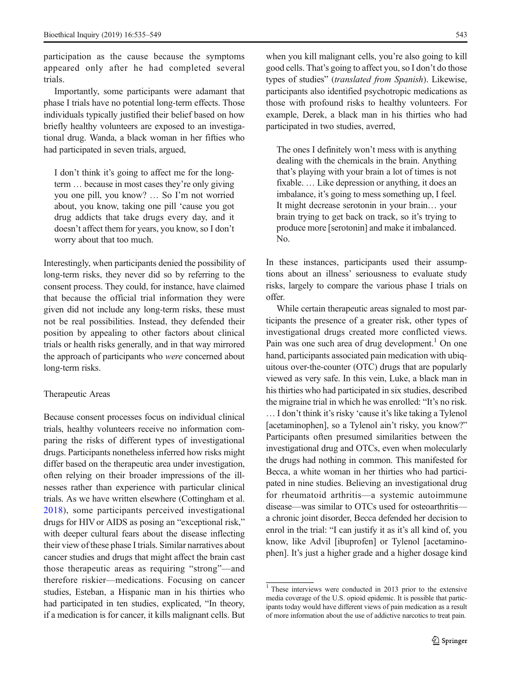participation as the cause because the symptoms appeared only after he had completed several trials.

Importantly, some participants were adamant that phase I trials have no potential long-term effects. Those individuals typically justified their belief based on how briefly healthy volunteers are exposed to an investigational drug. Wanda, a black woman in her fifties who had participated in seven trials, argued,

I don't think it's going to affect me for the longterm … because in most cases they're only giving you one pill, you know? … So I'm not worried about, you know, taking one pill 'cause you got drug addicts that take drugs every day, and it doesn't affect them for years, you know, so I don't worry about that too much.

Interestingly, when participants denied the possibility of long-term risks, they never did so by referring to the consent process. They could, for instance, have claimed that because the official trial information they were given did not include any long-term risks, these must not be real possibilities. Instead, they defended their position by appealing to other factors about clinical trials or health risks generally, and in that way mirrored the approach of participants who were concerned about long-term risks.

### Therapeutic Areas

Because consent processes focus on individual clinical trials, healthy volunteers receive no information comparing the risks of different types of investigational drugs. Participants nonetheless inferred how risks might differ based on the therapeutic area under investigation, often relying on their broader impressions of the illnesses rather than experience with particular clinical trials. As we have written elsewhere (Cottingham et al. [2018](#page-13-0)), some participants perceived investigational drugs for HIV or AIDS as posing an "exceptional risk," with deeper cultural fears about the disease inflecting their view of these phase I trials. Similar narratives about cancer studies and drugs that might affect the brain cast those therapeutic areas as requiring "strong"—and therefore riskier—medications. Focusing on cancer studies, Esteban, a Hispanic man in his thirties who had participated in ten studies, explicated, "In theory, if a medication is for cancer, it kills malignant cells. But

when you kill malignant cells, you're also going to kill good cells. That's going to affect you, so I don't do those types of studies" (translated from Spanish). Likewise, participants also identified psychotropic medications as those with profound risks to healthy volunteers. For example, Derek, a black man in his thirties who had participated in two studies, averred,

The ones I definitely won't mess with is anything dealing with the chemicals in the brain. Anything that's playing with your brain a lot of times is not fixable. … Like depression or anything, it does an imbalance, it's going to mess something up, I feel. It might decrease serotonin in your brain… your brain trying to get back on track, so it's trying to produce more [serotonin] and make it imbalanced. No.

In these instances, participants used their assumptions about an illness' seriousness to evaluate study risks, largely to compare the various phase I trials on offer.

While certain therapeutic areas signaled to most participants the presence of a greater risk, other types of investigational drugs created more conflicted views. Pain was one such area of drug development.<sup>1</sup> On one hand, participants associated pain medication with ubiquitous over-the-counter (OTC) drugs that are popularly viewed as very safe. In this vein, Luke, a black man in his thirties who had participated in six studies, described the migraine trial in which he was enrolled: "It's no risk. … I don't think it's risky 'cause it's like taking a Tylenol [acetaminophen], so a Tylenol ain't risky, you know?" Participants often presumed similarities between the investigational drug and OTCs, even when molecularly the drugs had nothing in common. This manifested for Becca, a white woman in her thirties who had participated in nine studies. Believing an investigational drug for rheumatoid arthritis—a systemic autoimmune disease—was similar to OTCs used for osteoarthritis a chronic joint disorder, Becca defended her decision to enrol in the trial: "I can justify it as it's all kind of, you know, like Advil [ibuprofen] or Tylenol [acetaminophen]. It's just a higher grade and a higher dosage kind

<sup>&</sup>lt;sup>1</sup> These interviews were conducted in 2013 prior to the extensive media coverage of the U.S. opioid epidemic. It is possible that participants today would have different views of pain medication as a result of more information about the use of addictive narcotics to treat pain.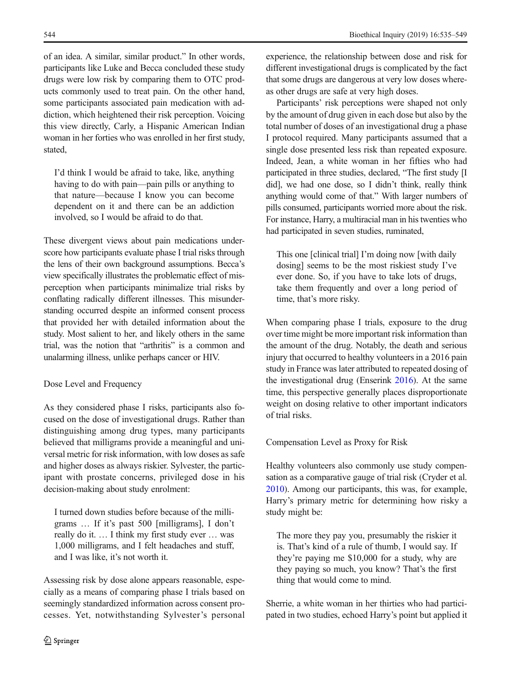of an idea. A similar, similar product." In other words, participants like Luke and Becca concluded these study drugs were low risk by comparing them to OTC products commonly used to treat pain. On the other hand, some participants associated pain medication with addiction, which heightened their risk perception. Voicing this view directly, Carly, a Hispanic American Indian woman in her forties who was enrolled in her first study, stated,

I'd think I would be afraid to take, like, anything having to do with pain—pain pills or anything to that nature—because I know you can become dependent on it and there can be an addiction involved, so I would be afraid to do that.

These divergent views about pain medications underscore how participants evaluate phase I trial risks through the lens of their own background assumptions. Becca's view specifically illustrates the problematic effect of misperception when participants minimalize trial risks by conflating radically different illnesses. This misunderstanding occurred despite an informed consent process that provided her with detailed information about the study. Most salient to her, and likely others in the same trial, was the notion that "arthritis" is a common and unalarming illness, unlike perhaps cancer or HIV.

## Dose Level and Frequency

As they considered phase I risks, participants also focused on the dose of investigational drugs. Rather than distinguishing among drug types, many participants believed that milligrams provide a meaningful and universal metric for risk information, with low doses as safe and higher doses as always riskier. Sylvester, the participant with prostate concerns, privileged dose in his decision-making about study enrolment:

I turned down studies before because of the milligrams … If it's past 500 [milligrams], I don't really do it. … I think my first study ever … was 1,000 milligrams, and I felt headaches and stuff, and I was like, it's not worth it.

Assessing risk by dose alone appears reasonable, especially as a means of comparing phase I trials based on seemingly standardized information across consent processes. Yet, notwithstanding Sylvester's personal experience, the relationship between dose and risk for different investigational drugs is complicated by the fact that some drugs are dangerous at very low doses whereas other drugs are safe at very high doses.

Participants' risk perceptions were shaped not only by the amount of drug given in each dose but also by the total number of doses of an investigational drug a phase I protocol required. Many participants assumed that a single dose presented less risk than repeated exposure. Indeed, Jean, a white woman in her fifties who had participated in three studies, declared, "The first study [I did], we had one dose, so I didn't think, really think anything would come of that." With larger numbers of pills consumed, participants worried more about the risk. For instance, Harry, a multiracial man in his twenties who had participated in seven studies, ruminated,

This one [clinical trial] I'm doing now [with daily dosing] seems to be the most riskiest study I've ever done. So, if you have to take lots of drugs, take them frequently and over a long period of time, that's more risky.

When comparing phase I trials, exposure to the drug over time might be more important risk information than the amount of the drug. Notably, the death and serious injury that occurred to healthy volunteers in a 2016 pain study in France was later attributed to repeated dosing of the investigational drug (Enserink [2016\)](#page-13-0). At the same time, this perspective generally places disproportionate weight on dosing relative to other important indicators of trial risks.

Compensation Level as Proxy for Risk

Healthy volunteers also commonly use study compensation as a comparative gauge of trial risk (Cryder et al. [2010](#page-13-0)). Among our participants, this was, for example, Harry's primary metric for determining how risky a study might be:

The more they pay you, presumably the riskier it is. That's kind of a rule of thumb, I would say. If they're paying me \$10,000 for a study, why are they paying so much, you know? That's the first thing that would come to mind.

Sherrie, a white woman in her thirties who had participated in two studies, echoed Harry's point but applied it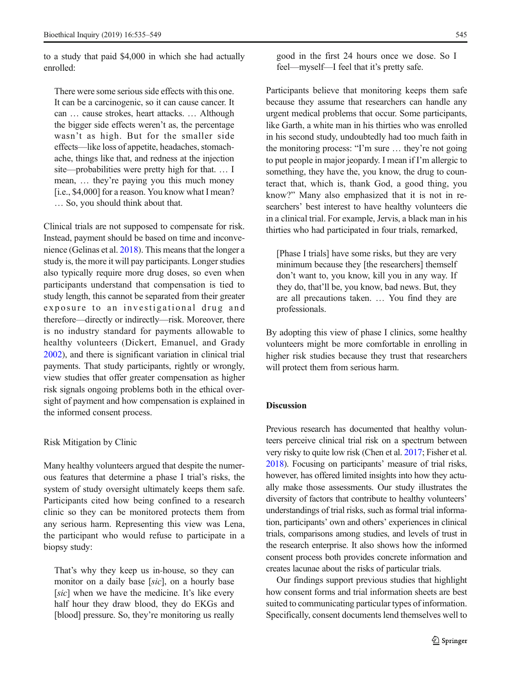to a study that paid \$4,000 in which she had actually enrolled:

There were some serious side effects with this one. It can be a carcinogenic, so it can cause cancer. It can … cause strokes, heart attacks. … Although the bigger side effects weren't as, the percentage wasn't as high. But for the smaller side effects—like loss of appetite, headaches, stomachache, things like that, and redness at the injection site—probabilities were pretty high for that. … I mean, … they're paying you this much money [i.e., \$4,000] for a reason. You know what I mean? … So, you should think about that.

Clinical trials are not supposed to compensate for risk. Instead, payment should be based on time and inconvenience (Gelinas et al. [2018\)](#page-13-0). This means that the longer a study is, the more it will pay participants. Longer studies also typically require more drug doses, so even when participants understand that compensation is tied to study length, this cannot be separated from their greater exposure to an investigational drug and therefore—directly or indirectly—risk. Moreover, there is no industry standard for payments allowable to healthy volunteers (Dickert, Emanuel, and Grady [2002](#page-13-0)), and there is significant variation in clinical trial payments. That study participants, rightly or wrongly, view studies that offer greater compensation as higher risk signals ongoing problems both in the ethical oversight of payment and how compensation is explained in the informed consent process.

### Risk Mitigation by Clinic

Many healthy volunteers argued that despite the numerous features that determine a phase I trial's risks, the system of study oversight ultimately keeps them safe. Participants cited how being confined to a research clinic so they can be monitored protects them from any serious harm. Representing this view was Lena, the participant who would refuse to participate in a biopsy study:

That's why they keep us in-house, so they can monitor on a daily base [sic], on a hourly base [sic] when we have the medicine. It's like every half hour they draw blood, they do EKGs and [blood] pressure. So, they're monitoring us really good in the first 24 hours once we dose. So I feel—myself—I feel that it's pretty safe.

Participants believe that monitoring keeps them safe because they assume that researchers can handle any urgent medical problems that occur. Some participants, like Garth, a white man in his thirties who was enrolled in his second study, undoubtedly had too much faith in the monitoring process: "I'm sure … they're not going to put people in major jeopardy. I mean if I'm allergic to something, they have the, you know, the drug to counteract that, which is, thank God, a good thing, you know?" Many also emphasized that it is not in researchers' best interest to have healthy volunteers die in a clinical trial. For example, Jervis, a black man in his thirties who had participated in four trials, remarked,

[Phase I trials] have some risks, but they are very minimum because they [the researchers] themself don't want to, you know, kill you in any way. If they do, that'll be, you know, bad news. But, they are all precautions taken. … You find they are professionals.

By adopting this view of phase I clinics, some healthy volunteers might be more comfortable in enrolling in higher risk studies because they trust that researchers will protect them from serious harm.

## **Discussion**

Previous research has documented that healthy volunteers perceive clinical trial risk on a spectrum between very risky to quite low risk (Chen et al. [2017](#page-13-0); Fisher et al. [2018](#page-13-0)). Focusing on participants' measure of trial risks, however, has offered limited insights into how they actually make those assessments. Our study illustrates the diversity of factors that contribute to healthy volunteers' understandings of trial risks, such as formal trial information, participants' own and others' experiences in clinical trials, comparisons among studies, and levels of trust in the research enterprise. It also shows how the informed consent process both provides concrete information and creates lacunae about the risks of particular trials.

Our findings support previous studies that highlight how consent forms and trial information sheets are best suited to communicating particular types of information. Specifically, consent documents lend themselves well to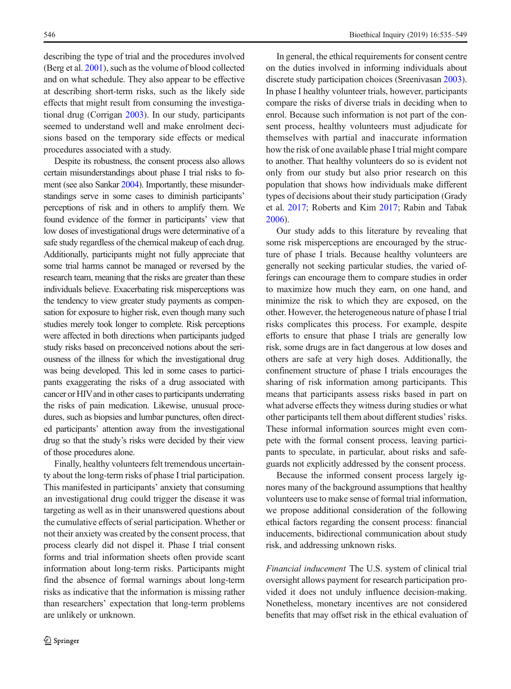describing the type of trial and the procedures involved (Berg et al. [2001\)](#page-13-0), such as the volume of blood collected and on what schedule. They also appear to be effective at describing short-term risks, such as the likely side effects that might result from consuming the investigational drug (Corrigan [2003](#page-13-0)). In our study, participants seemed to understand well and make enrolment decisions based on the temporary side effects or medical procedures associated with a study.

Despite its robustness, the consent process also allows certain misunderstandings about phase I trial risks to foment (see also Sankar [2004\)](#page-14-0). Importantly, these misunderstandings serve in some cases to diminish participants' perceptions of risk and in others to amplify them. We found evidence of the former in participants' view that low doses of investigational drugs were determinative of a safe study regardless of the chemical makeup of each drug. Additionally, participants might not fully appreciate that some trial harms cannot be managed or reversed by the research team, meaning that the risks are greater than these individuals believe. Exacerbating risk misperceptions was the tendency to view greater study payments as compensation for exposure to higher risk, even though many such studies merely took longer to complete. Risk perceptions were affected in both directions when participants judged study risks based on preconceived notions about the seriousness of the illness for which the investigational drug was being developed. This led in some cases to participants exaggerating the risks of a drug associated with cancer or HIVand in other cases to participants underrating the risks of pain medication. Likewise, unusual procedures, such as biopsies and lumbar punctures, often directed participants' attention away from the investigational drug so that the study's risks were decided by their view of those procedures alone.

Finally, healthy volunteers felt tremendous uncertainty about the long-term risks of phase I trial participation. This manifested in participants' anxiety that consuming an investigational drug could trigger the disease it was targeting as well as in their unanswered questions about the cumulative effects of serial participation. Whether or not their anxiety was created by the consent process, that process clearly did not dispel it. Phase I trial consent forms and trial information sheets often provide scant information about long-term risks. Participants might find the absence of formal warnings about long-term risks as indicative that the information is missing rather than researchers' expectation that long-term problems are unlikely or unknown.

In general, the ethical requirements for consent centre on the duties involved in informing individuals about discrete study participation choices (Sreenivasan [2003\)](#page-14-0). In phase I healthy volunteer trials, however, participants compare the risks of diverse trials in deciding when to enrol. Because such information is not part of the consent process, healthy volunteers must adjudicate for themselves with partial and inaccurate information how the risk of one available phase I trial might compare to another. That healthy volunteers do so is evident not only from our study but also prior research on this population that shows how individuals make different types of decisions about their study participation (Grady et al. [2017;](#page-13-0) Roberts and Kim [2017;](#page-14-0) Rabin and Tabak [2006](#page-14-0)).

Our study adds to this literature by revealing that some risk misperceptions are encouraged by the structure of phase I trials. Because healthy volunteers are generally not seeking particular studies, the varied offerings can encourage them to compare studies in order to maximize how much they earn, on one hand, and minimize the risk to which they are exposed, on the other. However, the heterogeneous nature of phase I trial risks complicates this process. For example, despite efforts to ensure that phase I trials are generally low risk, some drugs are in fact dangerous at low doses and others are safe at very high doses. Additionally, the confinement structure of phase I trials encourages the sharing of risk information among participants. This means that participants assess risks based in part on what adverse effects they witness during studies or what other participants tell them about different studies' risks. These informal information sources might even compete with the formal consent process, leaving participants to speculate, in particular, about risks and safeguards not explicitly addressed by the consent process.

Because the informed consent process largely ignores many of the background assumptions that healthy volunteers use to make sense of formal trial information, we propose additional consideration of the following ethical factors regarding the consent process: financial inducements, bidirectional communication about study risk, and addressing unknown risks.

Financial inducement The U.S. system of clinical trial oversight allows payment for research participation provided it does not unduly influence decision-making. Nonetheless, monetary incentives are not considered benefits that may offset risk in the ethical evaluation of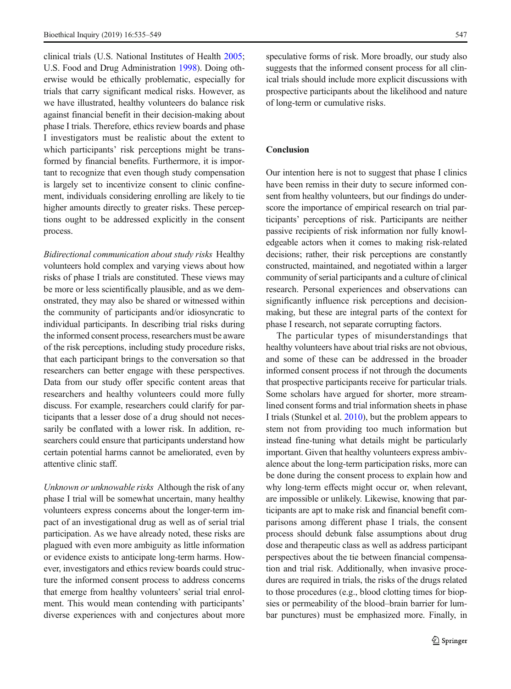clinical trials (U.S. National Institutes of Health [2005](#page-14-0); U.S. Food and Drug Administration [1998\)](#page-14-0). Doing otherwise would be ethically problematic, especially for trials that carry significant medical risks. However, as we have illustrated, healthy volunteers do balance risk against financial benefit in their decision-making about phase I trials. Therefore, ethics review boards and phase I investigators must be realistic about the extent to which participants' risk perceptions might be transformed by financial benefits. Furthermore, it is important to recognize that even though study compensation is largely set to incentivize consent to clinic confinement, individuals considering enrolling are likely to tie higher amounts directly to greater risks. These perceptions ought to be addressed explicitly in the consent process.

Bidirectional communication about study risks Healthy volunteers hold complex and varying views about how risks of phase I trials are constituted. These views may be more or less scientifically plausible, and as we demonstrated, they may also be shared or witnessed within the community of participants and/or idiosyncratic to individual participants. In describing trial risks during the informed consent process, researchers must be aware of the risk perceptions, including study procedure risks, that each participant brings to the conversation so that researchers can better engage with these perspectives. Data from our study offer specific content areas that researchers and healthy volunteers could more fully discuss. For example, researchers could clarify for participants that a lesser dose of a drug should not necessarily be conflated with a lower risk. In addition, researchers could ensure that participants understand how certain potential harms cannot be ameliorated, even by attentive clinic staff.

Unknown or unknowable risks Although the risk of any phase I trial will be somewhat uncertain, many healthy volunteers express concerns about the longer-term impact of an investigational drug as well as of serial trial participation. As we have already noted, these risks are plagued with even more ambiguity as little information or evidence exists to anticipate long-term harms. However, investigators and ethics review boards could structure the informed consent process to address concerns that emerge from healthy volunteers' serial trial enrolment. This would mean contending with participants' diverse experiences with and conjectures about more speculative forms of risk. More broadly, our study also suggests that the informed consent process for all clinical trials should include more explicit discussions with prospective participants about the likelihood and nature of long-term or cumulative risks.

## Conclusion

Our intention here is not to suggest that phase I clinics have been remiss in their duty to secure informed consent from healthy volunteers, but our findings do underscore the importance of empirical research on trial participants' perceptions of risk. Participants are neither passive recipients of risk information nor fully knowledgeable actors when it comes to making risk-related decisions; rather, their risk perceptions are constantly constructed, maintained, and negotiated within a larger community of serial participants and a culture of clinical research. Personal experiences and observations can significantly influence risk perceptions and decisionmaking, but these are integral parts of the context for phase I research, not separate corrupting factors.

The particular types of misunderstandings that healthy volunteers have about trial risks are not obvious, and some of these can be addressed in the broader informed consent process if not through the documents that prospective participants receive for particular trials. Some scholars have argued for shorter, more streamlined consent forms and trial information sheets in phase I trials (Stunkel et al. [2010](#page-14-0)), but the problem appears to stem not from providing too much information but instead fine-tuning what details might be particularly important. Given that healthy volunteers express ambivalence about the long-term participation risks, more can be done during the consent process to explain how and why long-term effects might occur or, when relevant, are impossible or unlikely. Likewise, knowing that participants are apt to make risk and financial benefit comparisons among different phase I trials, the consent process should debunk false assumptions about drug dose and therapeutic class as well as address participant perspectives about the tie between financial compensation and trial risk. Additionally, when invasive procedures are required in trials, the risks of the drugs related to those procedures (e.g., blood clotting times for biopsies or permeability of the blood–brain barrier for lumbar punctures) must be emphasized more. Finally, in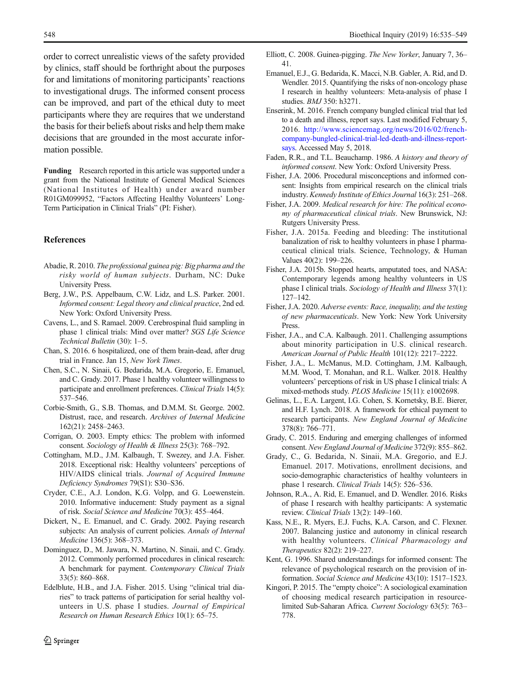<span id="page-13-0"></span>order to correct unrealistic views of the safety provided by clinics, staff should be forthright about the purposes for and limitations of monitoring participants' reactions to investigational drugs. The informed consent process can be improved, and part of the ethical duty to meet participants where they are requires that we understand the basis for their beliefs about risks and help them make decisions that are grounded in the most accurate information possible.

Funding Research reported in this article was supported under a grant from the National Institute of General Medical Sciences (National Institutes of Health) under award number R01GM099952, "Factors Affecting Healthy Volunteers' Long-Term Participation in Clinical Trials" (PI: Fisher).

#### **References**

- Abadie, R. 2010. The professional guinea pig: Big pharma and the risky world of human subjects. Durham, NC: Duke University Press.
- Berg, J.W., P.S. Appelbaum, C.W. Lidz, and L.S. Parker. 2001. Informed consent: Legal theory and clinical practice, 2nd ed. New York: Oxford University Press.
- Cavens, L., and S. Ramael. 2009. Cerebrospinal fluid sampling in phase 1 clinical trials: Mind over matter? SGS Life Science Technical Bulletin (30): 1–5.
- Chan, S. 2016. 6 hospitalized, one of them brain-dead, after drug trial in France. Jan 15, New York Times.
- Chen, S.C., N. Sinaii, G. Bedarida, M.A. Gregorio, E. Emanuel, and C. Grady. 2017. Phase 1 healthy volunteer willingness to participate and enrollment preferences. Clinical Trials 14(5): 537–546.
- Corbie-Smith, G., S.B. Thomas, and D.M.M. St. George. 2002. Distrust, race, and research. Archives of Internal Medicine 162(21): 2458–2463.
- Corrigan, O. 2003. Empty ethics: The problem with informed consent. Sociology of Health & Illness 25(3): 768–792.
- Cottingham, M.D., J.M. Kalbaugh, T. Swezey, and J.A. Fisher. 2018. Exceptional risk: Healthy volunteers' perceptions of HIV/AIDS clinical trials. Journal of Acquired Immune Deficiency Syndromes 79(S1): S30–S36.
- Cryder, C.E., A.J. London, K.G. Volpp, and G. Loewenstein. 2010. Informative inducement: Study payment as a signal of risk. Social Science and Medicine 70(3): 455–464.
- Dickert, N., E. Emanuel, and C. Grady. 2002. Paying research subjects: An analysis of current policies. Annals of Internal Medicine 136(5): 368–373.
- Dominguez, D., M. Jawara, N. Martino, N. Sinaii, and C. Grady. 2012. Commonly performed procedures in clinical research: A benchmark for payment. Contemporary Clinical Trials 33(5): 860–868.
- Edelblute, H.B., and J.A. Fisher. 2015. Using "clinical trial diaries" to track patterns of participation for serial healthy volunteers in U.S. phase I studies. Journal of Empirical Research on Human Research Ethics 10(1): 65–75.
- Elliott, C. 2008. Guinea-pigging. The New Yorker, January 7, 36– 41.
- Emanuel, E.J., G. Bedarida, K. Macci, N.B. Gabler, A. Rid, and D. Wendler. 2015. Quantifying the risks of non-oncology phase I research in healthy volunteers: Meta-analysis of phase I studies. BMJ 350: h3271.
- Enserink, M. 2016. French company bungled clinical trial that led to a death and illness, report says. Last modified February 5, 2016. [http://www.sciencemag.org/news/2016/02/french](http://www.sciencemag.org/news/2016/02/french-company-bungled-clinical-trial-led-death-and-illness-report-says)[company-bungled-clinical-trial-led-death-and-illness-report](http://www.sciencemag.org/news/2016/02/french-company-bungled-clinical-trial-led-death-and-illness-report-says)[says.](http://www.sciencemag.org/news/2016/02/french-company-bungled-clinical-trial-led-death-and-illness-report-says) Accessed May 5, 2018.
- Faden, R.R., and T.L. Beauchamp. 1986. A history and theory of informed consent. New York: Oxford University Press.
- Fisher, J.A. 2006. Procedural misconceptions and informed consent: Insights from empirical research on the clinical trials industry. Kennedy Institute of Ethics Journal 16(3): 251–268.
- Fisher, J.A. 2009. Medical research for hire: The political economy of pharmaceutical clinical trials. New Brunswick, NJ: Rutgers University Press.
- Fisher, J.A. 2015a. Feeding and bleeding: The institutional banalization of risk to healthy volunteers in phase I pharmaceutical clinical trials. Science, Technology, & Human Values 40(2): 199–226.
- Fisher, J.A. 2015b. Stopped hearts, amputated toes, and NASA: Contemporary legends among healthy volunteers in US phase I clinical trials. Sociology of Health and Illness 37(1): 127–142.
- Fisher, J.A. 2020. Adverse events: Race, inequality, and the testing of new pharmaceuticals. New York: New York University Press.
- Fisher, J.A., and C.A. Kalbaugh. 2011. Challenging assumptions about minority participation in U.S. clinical research. American Journal of Public Health 101(12): 2217–2222.
- Fisher, J.A., L. McManus, M.D. Cottingham, J.M. Kalbaugh, M.M. Wood, T. Monahan, and R.L. Walker. 2018. Healthy volunteers' perceptions of risk in US phase I clinical trials: A mixed-methods study. PLOS Medicine 15(11): e1002698.
- Gelinas, L., E.A. Largent, I.G. Cohen, S. Kornetsky, B.E. Bierer, and H.F. Lynch. 2018. A framework for ethical payment to research participants. New England Journal of Medicine 378(8): 766–771.
- Grady, C. 2015. Enduring and emerging challenges of informed consent. New England Journal of Medicine 372(9): 855–862.
- Grady, C., G. Bedarida, N. Sinaii, M.A. Gregorio, and E.J. Emanuel. 2017. Motivations, enrollment decisions, and socio-demographic characteristics of healthy volunteers in phase 1 research. Clinical Trials 14(5): 526–536.
- Johnson, R.A., A. Rid, E. Emanuel, and D. Wendler. 2016. Risks of phase I research with healthy participants: A systematic review. Clinical Trials 13(2): 149–160.
- Kass, N.E., R. Myers, E.J. Fuchs, K.A. Carson, and C. Flexner. 2007. Balancing justice and autonomy in clinical research with healthy volunteers. Clinical Pharmacology and Therapeutics 82(2): 219–227.
- Kent, G. 1996. Shared understandings for informed consent: The relevance of psychological research on the provision of information. Social Science and Medicine 43(10): 1517–1523.
- Kingori, P. 2015. The "empty choice": A sociological examination of choosing medical research participation in resourcelimited Sub-Saharan Africa. Current Sociology 63(5): 763– 778.